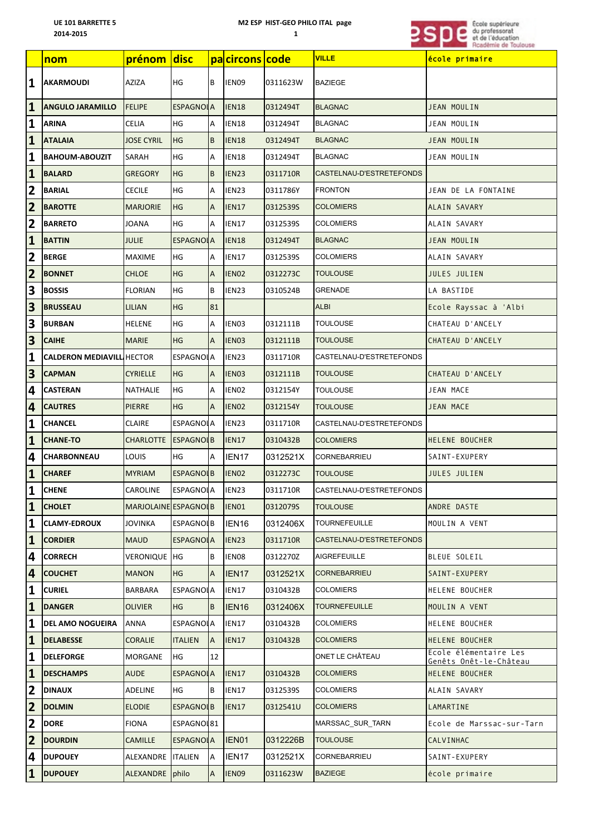## M2 ESP HIST-GEO PHILO ITAL page

 $\mathbf{1}$ 



|                         | <u>nom</u>                       | prénom disc          |                  |                | pacircons code    |          | <b>VILLE</b>             | école primaire                                  |
|-------------------------|----------------------------------|----------------------|------------------|----------------|-------------------|----------|--------------------------|-------------------------------------------------|
| $\mathbf{1}$            | <b>AKARMOUDI</b>                 | AZIZA                | HG               | B              | IEN09             | 0311623W | <b>BAZIEGE</b>           |                                                 |
| $\mathbf{1}$            | <b>ANGULO JARAMILLO</b>          | <b>FELIPE</b>        | <b>ESPAGNOLA</b> |                | IEN <sub>18</sub> | 0312494T | <b>BLAGNAC</b>           | JEAN MOULIN                                     |
| $\mathbf{1}$            | ARINA                            | <b>CELIA</b>         | HG               | Α              | IEN18             | 0312494T | <b>BLAGNAC</b>           | JEAN MOULIN                                     |
| $\mathbf{1}$            | <b>ATALAIA</b>                   | <b>JOSE CYRIL</b>    | HG               | B              | <b>IEN18</b>      | 0312494T | <b>BLAGNAC</b>           | JEAN MOULIN                                     |
| $\mathbf{1}$            | <b>BAHOUM-ABOUZIT</b>            | SARAH                | HG               | Α              | IEN18             | 0312494T | <b>BLAGNAC</b>           | JEAN MOULIN                                     |
| $\mathbf{1}$            | <b>BALARD</b>                    | <b>GREGORY</b>       | <b>HG</b>        | B              | IEN23             | 0311710R | CASTELNAU-D'ESTRETEFONDS |                                                 |
| $\overline{\mathbf{2}}$ | BARIAL                           | <b>CECILE</b>        | HG               | Α              | IEN23             | 0311786Y | <b>FRONTON</b>           | JEAN DE LA FONTAINE                             |
| $\overline{\mathbf{2}}$ | <b>BAROTTE</b>                   | <b>MARJORIE</b>      | HG               | $\overline{A}$ | <b>IEN17</b>      | 0312539S | <b>COLOMIERS</b>         | ALAIN SAVARY                                    |
| $\overline{\mathbf{2}}$ | <b>BARRETO</b>                   | <b>JOANA</b>         | HG               | A              | IEN17             | 0312539S | COLOMIERS                | ALAIN SAVARY                                    |
| $\overline{\mathbf{1}}$ | <b>BATTIN</b>                    | <b>JULIE</b>         | <b>ESPAGNOLA</b> |                | <b>IEN18</b>      | 0312494T | <b>BLAGNAC</b>           | JEAN MOULIN                                     |
| $\overline{2}$          | <b>BERGE</b>                     | MAXIME               | HG               | Α              | IEN17             | 0312539S | COLOMIERS                | ALAIN SAVARY                                    |
| $\overline{\mathbf{2}}$ | <b>BONNET</b>                    | <b>CHLOE</b>         | HG               | $\overline{A}$ | IEN02             | 0312273C | <b>TOULOUSE</b>          | JULES JULIEN                                    |
| 3                       | <b>BOSSIS</b>                    | <b>FLORIAN</b>       | HG               | B              | IEN23             | 0310524B | GRENADE                  | LA BASTIDE                                      |
| $\overline{\mathbf{3}}$ | <b>BRUSSEAU</b>                  | <b>LILIAN</b>        | HG               | 81             |                   |          | <b>ALBI</b>              | Ecole Rayssac à 'Albi                           |
| 3                       | <b>BURBAN</b>                    | <b>HELENE</b>        | HG               | Α              | IEN03             | 0312111B | TOULOUSE                 | CHATEAU D'ANCELY                                |
| $\overline{\mathbf{3}}$ | <b>CAIHE</b>                     | <b>MARIE</b>         | HG               | $\overline{A}$ | IEN <sub>03</sub> | 0312111B | TOULOUSE                 | CHATEAU D'ANCELY                                |
| $\mathbf{1}$            | <b>CALDERON MEDIAVILL HECTOR</b> |                      | ESPAGNOLA        |                | IEN23             | 0311710R | CASTELNAU-D'ESTRETEFONDS |                                                 |
| $\overline{\mathbf{3}}$ | <b>CAPMAN</b>                    | <b>CYRIELLE</b>      | HG               | ΙA             | IEN03             | 0312111B | <b>TOULOUSE</b>          | CHATEAU D'ANCELY                                |
| 4                       | CASTERAN                         | NATHALIE             | HG               | Α              | IEN02             | 0312154Y | TOULOUSE                 | JEAN MACE                                       |
| 4                       | <b>CAUTRES</b>                   | PIERRE               | HG               | $\mathsf{A}$   | IEN <sub>02</sub> | 0312154Y | TOULOUSE                 | JEAN MACE                                       |
| $\mathbf{1}$            | <b>CHANCEL</b>                   | <b>CLAIRE</b>        | <b>ESPAGNOLA</b> |                | IEN23             | 0311710R | CASTELNAU-D'ESTRETEFONDS |                                                 |
| $\mathbf{1}$            | <b>CHANE-TO</b>                  | <b>CHARLOTTE</b>     | ESPAGNOLB        |                | <b>IEN17</b>      | 0310432B | <b>COLOMIERS</b>         | HELENE BOUCHER                                  |
| 4                       | <b>CHARBONNEAU</b>               | LOUIS                | HG               | ΙA             | IEN <sub>17</sub> | 0312521X | CORNEBARRIEU             | SAINT-EXUPERY                                   |
| $\mathbf{1}$            | <b>CHAREF</b>                    | <b>MYRIAM</b>        | <b>ESPAGNOLB</b> |                | IEN <sub>02</sub> | 0312273C | <b>TOULOUSE</b>          | JULES JULIEN                                    |
| $\mathbf{1}$            | <b>CHENE</b>                     | <b>CAROLINE</b>      | <b>ESPAGNOLA</b> |                | IEN23             | 0311710R | CASTELNAU-D'ESTRETEFONDS |                                                 |
| $\mathbf{1}$            | <b>CHOLET</b>                    | MARJOLAINE ESPAGNOLB |                  |                | IEN01             | 0312079S | <b>TOULOUSE</b>          | ANDRE DASTE                                     |
| $\mathbf{1}$            | <b>CLAMY-EDROUX</b>              | JOVINKA              | <b>ESPAGNOLB</b> |                | IEN <sub>16</sub> | 0312406X | <b>TOURNEFEUILLE</b>     | MOULIN A VENT                                   |
| $\mathbf{1}$            | <b>CORDIER</b>                   | <b>MAUD</b>          | <b>ESPAGNOLA</b> |                | IEN23             | 0311710R | CASTELNAU-D'ESTRETEFONDS |                                                 |
| 4                       | <b>CORRECH</b>                   | VERONIQUE HG         |                  | B              | IEN08             | 0312270Z | AIGREFEUILLE             | BLEUE SOLEIL                                    |
| 4                       | <b>COUCHET</b>                   | <b>MANON</b>         | HG               | ΙA             | IEN <sub>17</sub> | 0312521X | <b>CORNEBARRIEU</b>      | SAINT-EXUPERY                                   |
| $\mathbf{1}$            | <b>CURIEL</b>                    | BARBARA              | <b>ESPAGNOLA</b> |                | IEN17             | 0310432B | <b>COLOMIERS</b>         | HELENE BOUCHER                                  |
| $\mathbf{1}$            | <b>DANGER</b>                    | <b>OLIVIER</b>       | HG               | B              | IEN <sub>16</sub> | 0312406X | <b>TOURNEFEUILLE</b>     | MOULIN A VENT                                   |
| $\mathbf{1}$            | <b>DEL AMO NOGUEIRA</b>          | ANNA                 | <b>ESPAGNOLA</b> |                | IEN17             | 0310432B | COLOMIERS                | HELENE BOUCHER                                  |
| $\mathbf{1}$            | <b>DELABESSE</b>                 | <b>CORALIE</b>       | <b>ITALIEN</b>   | A              | IEN17             | 0310432B | <b>COLOMIERS</b>         | HELENE BOUCHER                                  |
| $\mathbf{1}$            | <b>DELEFORGE</b>                 | MORGANE              | HG               | 12             |                   |          | ONET LE CHÂTEAU          | Ecole élémentaire Les<br>Genêts Onêt-le-Château |
| $\mathbf{1}$            | <b>DESCHAMPS</b>                 | <b>AUDE</b>          | <b>ESPAGNOLA</b> |                | IEN17             | 0310432B | <b>COLOMIERS</b>         | HELENE BOUCHER                                  |
| $\overline{2}$          | <b>DINAUX</b>                    | ADELINE              | HG               | B              | IEN17             | 0312539S | <b>COLOMIERS</b>         | ALAIN SAVARY                                    |
| $\overline{2}$          | <b>DOLMIN</b>                    | <b>ELODIE</b>        | <b>ESPAGNOLB</b> |                | IEN17             | 0312541U | <b>COLOMIERS</b>         | LAMARTINE                                       |
| $\overline{\mathbf{2}}$ | <b>DORE</b>                      | FIONA                | ESPAGNOL81       |                |                   |          | MARSSAC_SUR_TARN         | Ecole de Marssac-sur-Tarn                       |
| $\overline{\mathbf{2}}$ | <b>DOURDIN</b>                   | <b>CAMILLE</b>       | ESPAGNOLA        |                | IEN01             | 0312226B | <b>TOULOUSE</b>          | CALVINHAC                                       |
| 4                       | <b>DUPOUEY</b>                   | ALEXANDRE            | <b>ITALIEN</b>   | ΙA             | IEN17             | 0312521X | CORNEBARRIEU             | SAINT-EXUPERY                                   |
| $\mathbf{1}$            | <b>DUPOUEY</b>                   | ALEXANDRE philo      |                  | A              | IEN09             | 0311623W | <b>BAZIEGE</b>           | école primaire                                  |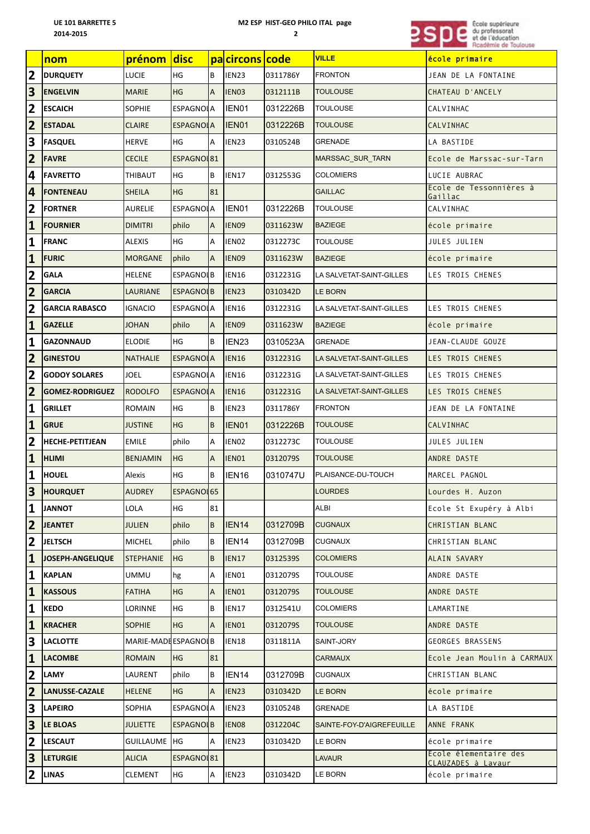## **M2 ESP HIST-GEO PHILO ITAL page**



|                         | nom                    | prénom              | disc <sup>l</sup> |                | pacircons code    |          | <b>VILLE</b>              | école primaire                              |
|-------------------------|------------------------|---------------------|-------------------|----------------|-------------------|----------|---------------------------|---------------------------------------------|
| $\overline{\mathbf{2}}$ | <b>DURQUETY</b>        | LUCIE               | HG                | B              | IEN23             | 0311786Y | <b>FRONTON</b>            | JEAN DE LA FONTAINE                         |
| $\overline{\mathbf{3}}$ | <b>ENGELVIN</b>        | <b>MARIE</b>        | HG                | $\overline{A}$ | IEN03             | 0312111B | <b>TOULOUSE</b>           | CHATEAU D'ANCELY                            |
| $\overline{\mathbf{2}}$ | <b>ESCAICH</b>         | <b>SOPHIE</b>       | ESPAGNOLA         |                | IEN01             | 0312226B | <b>TOULOUSE</b>           | CALVINHAC                                   |
| $\overline{2}$          | <b>ESTADAL</b>         | <b>CLAIRE</b>       | <b>ESPAGNOLA</b>  |                | IEN01             | 0312226B | <b>TOULOUSE</b>           | CALVINHAC                                   |
| 3                       | <b>FASQUEL</b>         | <b>HERVE</b>        | HG                | A              | IEN23             | 0310524B | <b>GRENADE</b>            | LA BASTIDE                                  |
| $\overline{\mathbf{2}}$ | <b>FAVRE</b>           | <b>CECILE</b>       | ESPAGNOL81        |                |                   |          | <b>MARSSAC SUR TARN</b>   | Ecole de Marssac-sur-Tarn                   |
| 4                       | <b>FAVRETTO</b>        | THIBAUT             | HG                | B              | IEN17             | 0312553G | <b>COLOMIERS</b>          | LUCIE AUBRAC                                |
| 4                       | <b>FONTENEAU</b>       | <b>SHEILA</b>       | HG                | 81             |                   |          | <b>GAILLAC</b>            | Ecole de Tessonnières à<br>Gaillac          |
| $\overline{\mathbf{2}}$ | <b>FORTNER</b>         | <b>AURELIE</b>      | ESPAGNOLA         |                | IEN01             | 0312226B | <b>TOULOUSE</b>           | CALVINHAC                                   |
| $\mathbf{1}$            | <b>FOURNIER</b>        | <b>DIMITRI</b>      | philo             | $\overline{A}$ | IEN09             | 0311623W | <b>BAZIEGE</b>            | école primaire                              |
| $\mathbf{1}$            | FRANC                  | ALEXIS              | HG                | Α              | IEN <sub>02</sub> | 0312273C | TOULOUSE                  | JULES JULIEN                                |
| $\mathbf{1}$            | <b>FURIC</b>           | <b>MORGANE</b>      | philo             | <b>A</b>       | IEN09             | 0311623W | <b>BAZIEGE</b>            | école primaire                              |
| $\overline{\mathbf{2}}$ | <b>GALA</b>            | <b>HELENE</b>       | <b>ESPAGNOLB</b>  |                | IEN16             | 0312231G | LA SALVETAT-SAINT-GILLES  | LES TROIS CHENES                            |
| $\overline{2}$          | <b>GARCIA</b>          | <b>LAURIANE</b>     | <b>ESPAGNOLB</b>  |                | IEN23             | 0310342D | <b>LE BORN</b>            |                                             |
| $\overline{2}$          | <b>GARCIA RABASCO</b>  | <b>IGNACIO</b>      | <b>ESPAGNOLA</b>  |                | IEN16             | 0312231G | LA SALVETAT-SAINT-GILLES  | LES TROIS CHENES                            |
| $\mathbf{1}$            | <b>GAZELLE</b>         | <b>JOHAN</b>        | philo             | $\overline{A}$ | IEN09             | 0311623W | <b>BAZIEGE</b>            | école primaire                              |
| $\mathbf{1}$            | <b>GAZONNAUD</b>       | <b>ELODIE</b>       | HG                | B              | IEN <sub>23</sub> | 0310523A | <b>GRENADE</b>            | JEAN-CLAUDE GOUZE                           |
| $\overline{2}$          | <b>GINESTOU</b>        | <b>NATHALIE</b>     | <b>ESPAGNOLA</b>  |                | <b>IEN16</b>      | 0312231G | LA SALVETAT-SAINT-GILLES  | LES TROIS CHENES                            |
| $\overline{\mathbf{2}}$ | <b>GODOY SOLARES</b>   | <b>JOEL</b>         | ESPAGNOLA         |                | IEN16             | 0312231G | LA SALVETAT-SAINT-GILLES  | LES TROIS CHENES                            |
| $\overline{2}$          | <b>GOMEZ-RODRIGUEZ</b> | <b>RODOLFO</b>      | <b>ESPAGNOLA</b>  |                | <b>IEN16</b>      | 0312231G | LA SALVETAT-SAINT-GILLES  | LES TROIS CHENES                            |
| $\mathbf{1}$            | <b>GRILLET</b>         | ROMAIN              | HG                | B              | IEN23             | 0311786Y | <b>FRONTON</b>            | JEAN DE LA FONTAINE                         |
| $\mathbf{1}$            | <b>GRUE</b>            | <b>JUSTINE</b>      | HG                | <b>B</b>       | IEN01             | 0312226B | <b>TOULOUSE</b>           | CALVINHAC                                   |
| $\overline{2}$          | <b>HECHE-PETITJEAN</b> | <b>EMILE</b>        | philo             | A              | IEN02             | 0312273C | <b>TOULOUSE</b>           | JULES JULIEN                                |
| $\mathbf{1}$            | <b>HLIMI</b>           | <b>BENJAMIN</b>     | HG                | A              | IEN01             | 0312079S | <b>TOULOUSE</b>           | ANDRE DASTE                                 |
| $\mathbf{1}$            | <b>HOUEL</b>           | Alexis              | HG                | B              | IEN <sub>16</sub> | 0310747U | PLAISANCE-DU-TOUCH        | MARCEL PAGNOL                               |
| $\overline{\mathbf{3}}$ | <b>HOURQUET</b>        | <b>AUDREY</b>       | ESPAGNOL 65       |                |                   |          | LOURDES                   | Lourdes H. Auzon                            |
| $\mathbf{1}$            | <b>JANNOT</b>          | LOLA                | HG                | 81             |                   |          | ALBI                      | Ecole St Exupéry à Albi                     |
| $\overline{\mathbf{2}}$ | <b>JEANTET</b>         | <b>JULIEN</b>       | philo             | B              | IEN <sub>14</sub> | 0312709B | <b>CUGNAUX</b>            | CHRISTIAN BLANC                             |
| $\overline{2}$          | <b>JELTSCH</b>         | <b>MICHEL</b>       | philo             | ΙB             | IEN <sub>14</sub> | 0312709B | <b>CUGNAUX</b>            | CHRISTIAN BLANC                             |
| $\mathbf{1}$            | JOSEPH-ANGELIQUE       | <b>STEPHANIE</b>    | HG                | B              | <b>IEN17</b>      | 0312539S | <b>COLOMIERS</b>          | ALAIN SAVARY                                |
| $\mathbf{1}$            | KAPLAN                 | <b>UMMU</b>         | hg                | Α              | IEN01             | 0312079S | <b>TOULOUSE</b>           | ANDRE DASTE                                 |
| $\overline{\mathbf{1}}$ | <b>KASSOUS</b>         | <b>FATIHA</b>       | HG                | A              | IEN01             | 0312079S | <b>TOULOUSE</b>           | ANDRE DASTE                                 |
| $\mathbf{1}$            | <b>KEDO</b>            | LORINNE             | HG                | B              | IEN17             | 0312541U | <b>COLOMIERS</b>          | LAMARTINE                                   |
| $\mathbf{1}$            | <b>KRACHER</b>         | <b>SOPHIE</b>       | HG                | ΙA             | IEN01             | 0312079S | <b>TOULOUSE</b>           | ANDRE DASTE                                 |
| 3                       | <b>LACLOTTE</b>        | MARIE-MADEESPAGNOLB |                   |                | <b>IEN18</b>      | 0311811A | SAINT-JORY                | GEORGES BRASSENS                            |
| $\mathbf{1}$            | <b>LACOMBE</b>         | <b>ROMAIN</b>       | HG                | 81             |                   |          | <b>CARMAUX</b>            | Ecole Jean Moulin à CARMAUX                 |
| $\mathbf{2}$            | LAMY                   | LAURENT             | philo             | B              | IEN <sub>14</sub> | 0312709B | <b>CUGNAUX</b>            | CHRISTIAN BLANC                             |
| $\overline{2}$          | LANUSSE-CAZALE         | <b>HELENE</b>       | HG                | $\overline{A}$ | IEN23             | 0310342D | LE BORN                   | école primaire                              |
| $\overline{\mathbf{3}}$ | <b>LAPEIRO</b>         | SOPHIA              | <b>ESPAGNOLA</b>  |                | IEN23             | 0310524B | <b>GRENADE</b>            | LA BASTIDE                                  |
| $\overline{\mathbf{3}}$ | <b>LE BLOAS</b>        | <b>JULIETTE</b>     | <b>ESPAGNOLB</b>  |                | IEN08             | 0312204C | SAINTE-FOY-D'AIGREFEUILLE | ANNE FRANK                                  |
| $\overline{2}$          | <b>LESCAUT</b>         | <b>GUILLAUME</b>    | HG                | Α              | IEN23             | 0310342D | LE BORN                   | école primaire                              |
| $\overline{\mathbf{3}}$ | <b>LETURGIE</b>        | <b>ALICIA</b>       | ESPAGNOL81        |                |                   |          | <b>LAVAUR</b>             | Ecole élementaire des<br>CLAUZADES à Lavaur |
| $\overline{\mathbf{2}}$ | <b>LINAS</b>           | <b>CLEMENT</b>      | HG                | Α              | IEN23             | 0310342D | LE BORN                   | école primaire                              |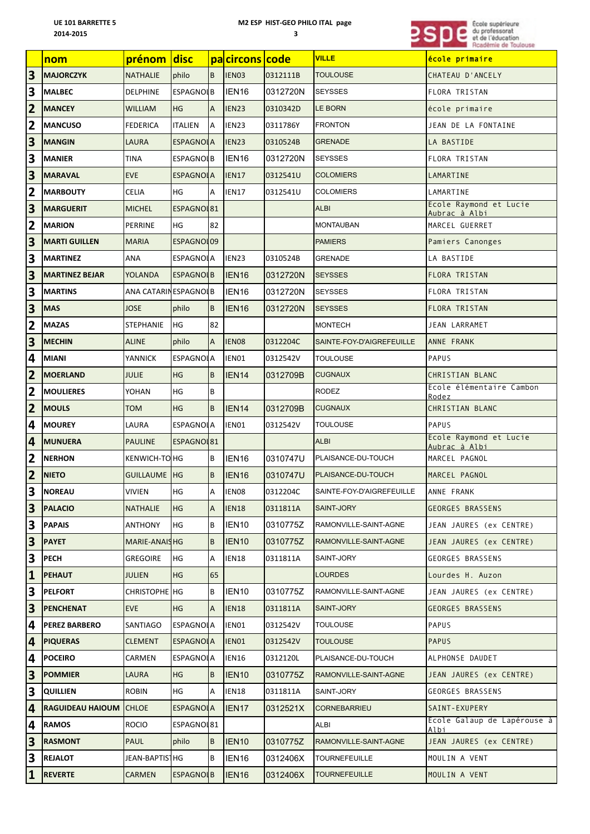## **M2 ESP HIST-GEO PHILO ITAL page**



|                         | nom                           | prénom               | disc             |                | pacircons code    |          | <b>VILLE</b>              | école primaire                          |
|-------------------------|-------------------------------|----------------------|------------------|----------------|-------------------|----------|---------------------------|-----------------------------------------|
| $\overline{\mathbf{3}}$ | <b>MAJORCZYK</b>              | <b>NATHALIE</b>      | philo            | B              | IEN <sub>03</sub> | 0312111B | <b>TOULOUSE</b>           | CHATEAU D'ANCELY                        |
| $\overline{\mathbf{3}}$ | <b>MALBEC</b>                 | <b>DELPHINE</b>      | <b>ESPAGNOLB</b> |                | IEN <sub>16</sub> | 0312720N | <b>SEYSSES</b>            | FLORA TRISTAN                           |
| $\overline{\mathbf{2}}$ | <b>MANCEY</b>                 | <b>WILLIAM</b>       | HG               | $\overline{A}$ | IEN23             | 0310342D | LE BORN                   | école primaire                          |
| $\overline{2}$          | <b>MANCUSO</b>                | <b>FEDERICA</b>      | <b>ITALIEN</b>   | A              | IEN23             | 0311786Y | <b>FRONTON</b>            | JEAN DE LA FONTAINE                     |
| $\overline{\mathbf{3}}$ | <b>MANGIN</b>                 | <b>LAURA</b>         | <b>ESPAGNOLA</b> |                | IEN23             | 0310524B | <b>GRENADE</b>            | LA BASTIDE                              |
| 3                       | <b>MANIER</b>                 | TINA                 | <b>ESPAGNOLB</b> |                | IEN <sub>16</sub> | 0312720N | SEYSSES                   | FLORA TRISTAN                           |
| $\overline{\mathbf{3}}$ | <b>MARAVAL</b>                | <b>EVE</b>           | <b>ESPAGNOLA</b> |                | <b>IEN17</b>      | 0312541U | <b>COLOMIERS</b>          | LAMARTINE                               |
| $\overline{\mathbf{2}}$ | <b>MARBOUTY</b>               | <b>CELIA</b>         | HG               | A              | IEN17             | 0312541U | <b>COLOMIERS</b>          | LAMARTINE                               |
| 3                       | <b>MARGUERIT</b>              | <b>MICHEL</b>        | ESPAGNOL81       |                |                   |          | <b>ALBI</b>               | Ecole Raymond et Lucie<br>Aubrac à Albi |
| $\overline{\mathbf{2}}$ | <b>MARION</b>                 | PERRINE              | HG               | 82             |                   |          | <b>MONTAUBAN</b>          | MARCEL GUERRET                          |
| 3                       | <b>MARTI GUILLEN</b>          | <b>MARIA</b>         | ESPAGNOL09       |                |                   |          | <b>PAMIERS</b>            | Pamiers Canonges                        |
| 3                       | <b>MARTINEZ</b>               | ANA                  | <b>ESPAGNOLA</b> |                | IEN23             | 0310524B | <b>GRENADE</b>            | LA BASTIDE                              |
| $\overline{\mathbf{3}}$ | <b>MARTINEZ BEJAR</b>         | <b>YOLANDA</b>       | <b>ESPAGNOLB</b> |                | IEN <sub>16</sub> | 0312720N | <b>SEYSSES</b>            | FLORA TRISTAN                           |
| 3                       | <b>MARTINS</b>                | ANA CATARINESPAGNOLB |                  |                | IEN <sub>16</sub> | 0312720N | <b>SEYSSES</b>            | FLORA TRISTAN                           |
| $\overline{\mathbf{3}}$ | <b>MAS</b>                    | <b>JOSE</b>          | philo            | B              | IEN <sub>16</sub> | 0312720N | <b>SEYSSES</b>            | FLORA TRISTAN                           |
| $\overline{\mathbf{2}}$ | <b>MAZAS</b>                  | <b>STEPHANIE</b>     | HG               | 82             |                   |          | <b>MONTECH</b>            | JEAN LARRAMET                           |
| $\overline{\mathbf{3}}$ | <b>MECHIN</b>                 | <b>ALINE</b>         | philo            | A              | IEN08             | 0312204C | SAINTE-FOY-D'AIGREFEUILLE | ANNE FRANK                              |
| 4                       | MIANI                         | <b>YANNICK</b>       | <b>ESPAGNOLA</b> |                | IEN01             | 0312542V | TOULOUSE                  | PAPUS                                   |
| $\overline{2}$          | <b>MOERLAND</b>               | <b>JULIE</b>         | <b>HG</b>        | B              | IEN <sub>14</sub> | 0312709B | <b>CUGNAUX</b>            | CHRISTIAN BLANC                         |
| $\overline{\mathbf{2}}$ | MOULIERES                     | YOHAN                | HG               | B              |                   |          | RODEZ                     | Ecole élémentaire Cambon<br>Rodez       |
| $\overline{\mathbf{2}}$ | <b>MOULS</b>                  | <b>TOM</b>           | HG               | B              | IEN <sub>14</sub> | 0312709B | <b>CUGNAUX</b>            | CHRISTIAN BLANC                         |
| $\overline{\mathbf{4}}$ | <b>MOUREY</b>                 | LAURA                | <b>ESPAGNOLA</b> |                | IEN01             | 0312542V | TOULOUSE                  | PAPUS                                   |
| 4                       | <b>MUNUERA</b>                | <b>PAULINE</b>       | ESPAGNO 81       |                |                   |          | <b>ALBI</b>               | Ecole Raymond et Lucie<br>Aubrac à Albi |
| $\overline{\mathbf{2}}$ | <b>NERHON</b>                 | KENWICH-TO HG        |                  | B              | IEN <sub>16</sub> | 0310747U | PLAISANCE-DU-TOUCH        | MARCEL PAGNOL                           |
| $\overline{\mathbf{c}}$ | <b>NIETO</b>                  | <b>GUILLAUME  HG</b> |                  | B              | IEN <sub>16</sub> | 0310747U | PLAISANCE-DU-TOUCH        | MARCEL PAGNOL                           |
| $\overline{\mathbf{3}}$ | NOREAU                        | VIVIEN               | HG               | A              | IEN08             | 0312204C | SAINTE-FOY-D'AIGREFEUILLE | ANNE FRANK                              |
| $\overline{\mathbf{3}}$ | <b>PALACIO</b>                | <b>NATHALIE</b>      | HG               | $\mathsf{A}$   | IEN <sub>18</sub> | 0311811A | SAINT-JORY                | <b>GEORGES BRASSENS</b>                 |
| 3                       | <b>PAPAIS</b>                 | <b>ANTHONY</b>       | HG               | B              | IEN <sub>10</sub> | 0310775Z | RAMONVILLE-SAINT-AGNE     | JEAN JAURES (ex CENTRE)                 |
| $\overline{\mathbf{3}}$ | <b>PAYET</b>                  | MARIE-ANAISHG        |                  | B              | IEN <sub>10</sub> | 0310775Z | RAMONVILLE-SAINT-AGNE     | JEAN JAURES (ex CENTRE)                 |
| $\overline{\mathbf{3}}$ | <b>PECH</b>                   | <b>GREGOIRE</b>      | HG               | Α              | IEN18             | 0311811A | SAINT-JORY                | GEORGES BRASSENS                        |
| $\mathbf{1}$            | <b>PEHAUT</b>                 | <b>JULIEN</b>        | HG.              | 65             |                   |          | LOURDES                   | Lourdes H. Auzon                        |
| 3                       | <b>PELFORT</b>                | CHRISTOPHE HG        |                  | B              | IEN <sub>10</sub> | 0310775Z | RAMONVILLE-SAINT-AGNE     | JEAN JAURES (ex CENTRE)                 |
| $\overline{\mathbf{3}}$ | <b>PENCHENAT</b>              | <b>EVE</b>           | HG               | $\mathsf{A}$   | <b>IEN18</b>      | 0311811A | SAINT-JORY                | GEORGES BRASSENS                        |
| 4                       | <b>PEREZ BARBERO</b>          | SANTIAGO             | ESPAGNOLA        |                | IEN01             | 0312542V | TOULOUSE                  | PAPUS                                   |
| 4                       | <b>PIQUERAS</b>               | <b>CLEMENT</b>       | ESPAGNOLA        |                | IEN01             | 0312542V | <b>TOULOUSE</b>           | PAPUS                                   |
| 4                       | <b>POCEIRO</b>                | CARMEN               | <b>ESPAGNOLA</b> |                | IEN16             | 0312120L | PLAISANCE-DU-TOUCH        | ALPHONSE DAUDET                         |
| $\overline{\mathbf{3}}$ | <b>POMMIER</b>                | LAURA                | HG               | B              | IEN <sub>10</sub> | 0310775Z | RAMONVILLE-SAINT-AGNE     | JEAN JAURES (ex CENTRE)                 |
| $\overline{\mathbf{3}}$ | <b>QUILLIEN</b>               | <b>ROBIN</b>         | HG               | IA.            | IEN18             | 0311811A | SAINT-JORY                | GEORGES BRASSENS                        |
| $\overline{4}$          | <b>RAGUIDEAU HAIOUM CHLOE</b> |                      | ESPAGNOLA        |                | IEN <sub>17</sub> | 0312521X | <b>CORNEBARRIEU</b>       | SAINT-EXUPERY                           |
| 4                       | <b>RAMOS</b>                  | <b>ROCIO</b>         | ESPAGNOL81       |                |                   |          | ALBI                      | Ecole Galaup de Lapérouse à<br>Albi     |
| $\overline{\mathbf{3}}$ | <b>RASMONT</b>                | PAUL                 | philo            | IB.            | IEN <sub>10</sub> | 0310775Z | RAMONVILLE-SAINT-AGNE     | JEAN JAURES (ex CENTRE)                 |
| 3                       | <b>REJALOT</b>                | JEAN-BAPTIS   HG     |                  | B              | IEN <sub>16</sub> | 0312406X | TOURNEFEUILLE             | MOULIN A VENT                           |
| $\vert$ 1               | <b>REVERTE</b>                | <b>CARMEN</b>        | <b>ESPAGNOLB</b> |                | IEN <sub>16</sub> | 0312406X | <b>TOURNEFEUILLE</b>      | MOULIN A VENT                           |
|                         |                               |                      |                  |                |                   |          |                           |                                         |